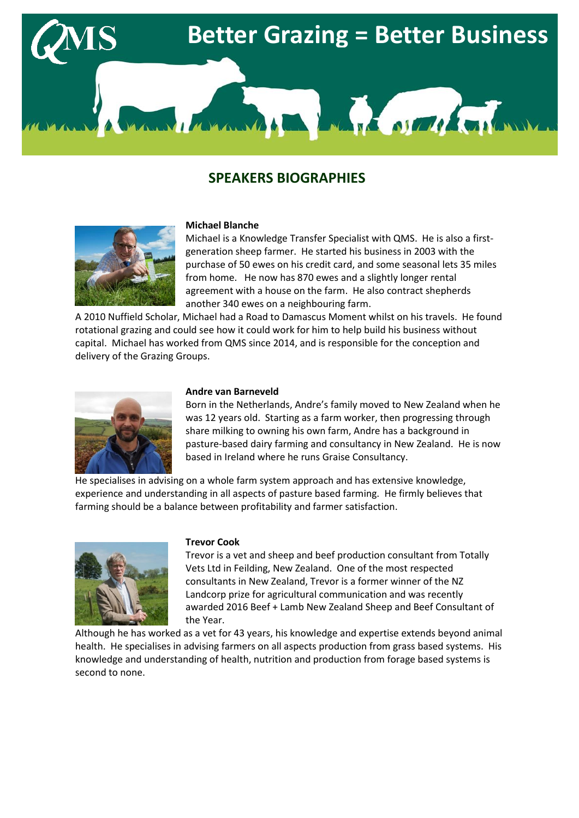

# **SPEAKERS BIOGRAPHIES**



## **Michael Blanche**

Michael is a Knowledge Transfer Specialist with QMS. He is also a firstgeneration sheep farmer. He started his business in 2003 with the purchase of 50 ewes on his credit card, and some seasonal lets 35 miles from home. He now has 870 ewes and a slightly longer rental agreement with a house on the farm. He also contract shepherds another 340 ewes on a neighbouring farm.

A 2010 Nuffield Scholar, Michael had a Road to Damascus Moment whilst on his travels. He found rotational grazing and could see how it could work for him to help build his business without capital. Michael has worked from QMS since 2014, and is responsible for the conception and delivery of the Grazing Groups.



#### **Andre van Barneveld**

Born in the Netherlands, Andre's family moved to New Zealand when he was 12 years old. Starting as a farm worker, then progressing through share milking to owning his own farm, Andre has a background in pasture-based dairy farming and consultancy in New Zealand. He is now based in Ireland where he runs Graise Consultancy.

He specialises in advising on a whole farm system approach and has extensive knowledge, experience and understanding in all aspects of pasture based farming. He firmly believes that farming should be a balance between profitability and farmer satisfaction.



#### **Trevor Cook**

Trevor is a vet and sheep and beef production consultant from Totally Vets Ltd in Feilding, New Zealand. One of the most respected consultants in New Zealand, Trevor is a former winner of the NZ Landcorp prize for agricultural communication and was recently awarded 2016 Beef + Lamb New Zealand Sheep and Beef Consultant of the Year.

Although he has worked as a vet for 43 years, his knowledge and expertise extends beyond animal health. He specialises in advising farmers on all aspects production from grass based systems. His knowledge and understanding of health, nutrition and production from forage based systems is second to none.